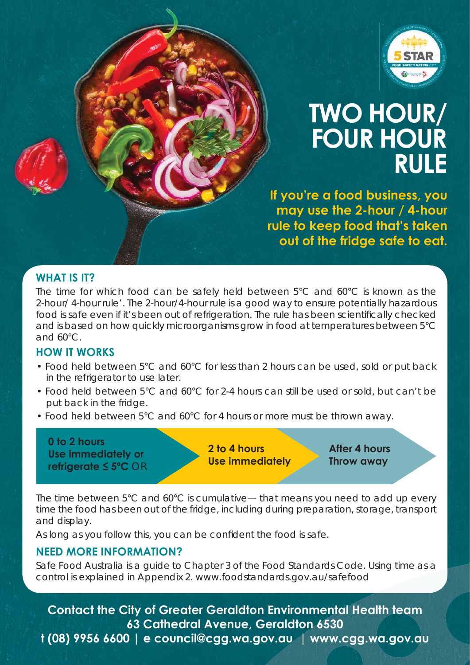

## **TWO HOUR/ FOUR HOUR RULE**

**If you're a food business, you may use the 2-hour / 4-hour rule to keep food that's taken out of the fridge safe to eat.**

### **WHAT IS IT?**

The time for which food can be safely held between 5°C and 60°C is known as the 2-hour/ 4-hour rule'. The 2-hour/4-hour rule is a good way to ensure potentially hazardous food is safe even if it's been out of refrigeration. The rule has been scientifically checked and is based on how quickly microorganisms grow in food at temperatures between 5°C and 60°C.

#### **HOW IT WORKS**

- Food held between 5°C and 60°C for less than 2 hours can be used, sold or put back in the refrigerator to use later.
- Food held between 5°C and 60°C for 2-4 hours can still be used or sold, but can't be put back in the fridge.
- Food held between 5°C and 60°C for 4 hours or more must be thrown away.

**0 to 2 hours Use immediately or refrigerate ≤ 5ºC** *OR*

**2 to 4 hours Use immediately**

**After 4 hours Throw away**

The time between 5°C and 60°C is cumulative— that means you need to add up every time the food has been out of the fridge, including during preparation, storage, transport and display.

As long as you follow this, you can be confident the food is safe.

#### **NEED MORE INFORMATION?**

Safe Food Australia is a guide to Chapter 3 of the Food Standards Code. Using time as a control is explained in Appendix 2. www.foodstandards.gov.au/safefood

**Contact the City of Greater Geraldton Environmental Health team 63 Cathedral Avenue, Geraldton 6530**

**t (08) 9956 6600 | e council@cgg.wa.gov.au | www.cgg.wa.gov.au**